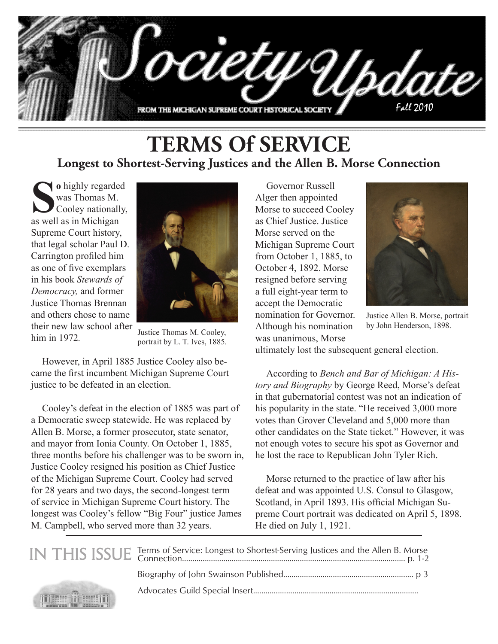

#### **TERMS Of SERVICE Longest to Shortest-Serving Justices and the Allen B. Morse Connection**

**Solution** is the base of the same of the same of the same of the same of the same of the same of the same of the same of the same of the same of the same of the same of the same of the same of the same of the same of the was Thomas M. Cooley nationally, as well as in Michigan Supreme Court history, that legal scholar Paul D. Carrington profiled him as one of five exemplars in his book *Stewards of Democracy,* and former Justice Thomas Brennan and others chose to name their new law school after him in 1972*.*

HE SECOND THE SECOND T



Justice Thomas M. Cooley, portrait by L. T. Ives, 1885.

However, in April 1885 Justice Cooley also became the first incumbent Michigan Supreme Court justice to be defeated in an election.

Cooley's defeat in the election of 1885 was part of a Democratic sweep statewide. He was replaced by Allen B. Morse, a former prosecutor, state senator, and mayor from Ionia County. On October 1, 1885, three months before his challenger was to be sworn in, Justice Cooley resigned his position as Chief Justice of the Michigan Supreme Court. Cooley had served for 28 years and two days, the second-longest term of service in Michigan Supreme Court history. The longest was Cooley's fellow "Big Four" justice James M. Campbell, who served more than 32 years.

Governor Russell Alger then appointed Morse to succeed Cooley as Chief Justice. Justice Morse served on the Michigan Supreme Court from October 1, 1885, to October 4, 1892. Morse resigned before serving a full eight-year term to accept the Democratic nomination for Governor. Although his nomination was unanimous, Morse



Justice Allen B. Morse, portrait by John Henderson, 1898.

ultimately lost the subsequent general election.

According to *Bench and Bar of Michigan: A History and Biography* by George Reed, Morse's defeat in that gubernatorial contest was not an indication of his popularity in the state. "He received 3,000 more votes than Grover Cleveland and 5,000 more than other candidates on the State ticket." However, it was not enough votes to secure his spot as Governor and he lost the race to Republican John Tyler Rich.

Morse returned to the practice of law after his defeat and was appointed U.S. Consul to Glasgow, Scotland, in April 1893. His official Michigan Supreme Court portrait was dedicated on April 5, 1898. He died on July 1, 1921.

|                                                                                                                                                                                                                                                                                                                                                     | IN THIS ISSUE Terms of Service: Longest to Shortest-Serving Justices and the Allen B. Morse<br>p. 1-2 |
|-----------------------------------------------------------------------------------------------------------------------------------------------------------------------------------------------------------------------------------------------------------------------------------------------------------------------------------------------------|-------------------------------------------------------------------------------------------------------|
|                                                                                                                                                                                                                                                                                                                                                     |                                                                                                       |
| $\begin{picture}(180,10) \put(0,0){\line(1,0){10}} \put(10,0){\line(1,0){10}} \put(10,0){\line(1,0){10}} \put(10,0){\line(1,0){10}} \put(10,0){\line(1,0){10}} \put(10,0){\line(1,0){10}} \put(10,0){\line(1,0){10}} \put(10,0){\line(1,0){10}} \put(10,0){\line(1,0){10}} \put(10,0){\line(1,0){10}} \put(10,0){\line(1,0){10}} \put(10,0){\line($ |                                                                                                       |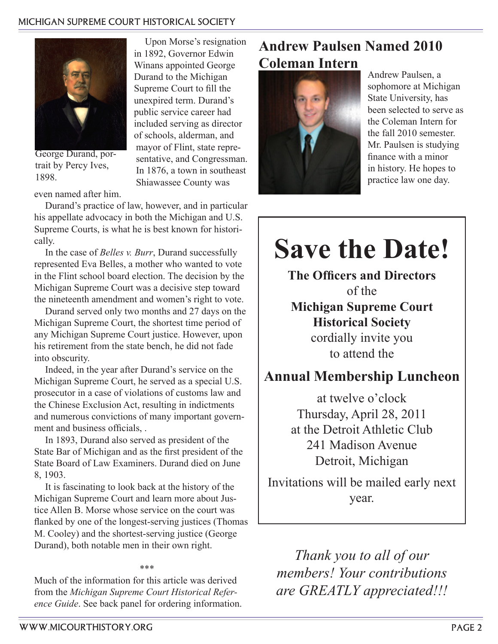#### michigan supreme court historical society

Upon Morse's resignation in 1892, Governor Edwin Winans appointed George Durand to the Michigan Supreme Court to fill the unexpired term. Durand's public service career had included serving as director of schools, alderman, and mayor of Flint, state representative, and Congressman. In 1876, a town in southeast Shiawassee County was



George Durand, portrait by Percy Ives, 1898.

even named after him.

Durand's practice of law, however, and in particular his appellate advocacy in both the Michigan and U.S. Supreme Courts, is what he is best known for historically.

In the case of *Belles v. Burr*, Durand successfully represented Eva Belles, a mother who wanted to vote in the Flint school board election. The decision by the Michigan Supreme Court was a decisive step toward the nineteenth amendment and women's right to vote.

Durand served only two months and 27 days on the Michigan Supreme Court, the shortest time period of any Michigan Supreme Court justice. However, upon his retirement from the state bench, he did not fade into obscurity.

Indeed, in the year after Durand's service on the Michigan Supreme Court, he served as a special U.S. prosecutor in a case of violations of customs law and the Chinese Exclusion Act, resulting in indictments and numerous convictions of many important government and business officials, .

In 1893, Durand also served as president of the State Bar of Michigan and as the first president of the State Board of Law Examiners. Durand died on June 8, 1903.

It is fascinating to look back at the history of the Michigan Supreme Court and learn more about Justice Allen B. Morse whose service on the court was flanked by one of the longest-serving justices (Thomas M. Cooley) and the shortest-serving justice (George Durand), both notable men in their own right.

\*\*\*

Much of the information for this article was derived from the *Michigan Supreme Court Historical Reference Guide*. See back panel for ordering information.

#### **Andrew Paulsen Named 2010 Coleman Intern**



Andrew Paulsen, a sophomore at Michigan State University, has been selected to serve as the Coleman Intern for the fall 2010 semester. Mr. Paulsen is studying finance with a minor in history. He hopes to practice law one day.

# **Save the Date!**

**The Officers and Directors** of the **Michigan Supreme Court Historical Society** cordially invite you to attend the

#### **Annual Membership Luncheon**

at twelve o'clock Thursday, April 28, 2011 at the Detroit Athletic Club 241 Madison Avenue Detroit, Michigan

Invitations will be mailed early next year.

*Thank you to all of our members! Your contributions are GREATLY appreciated!!!*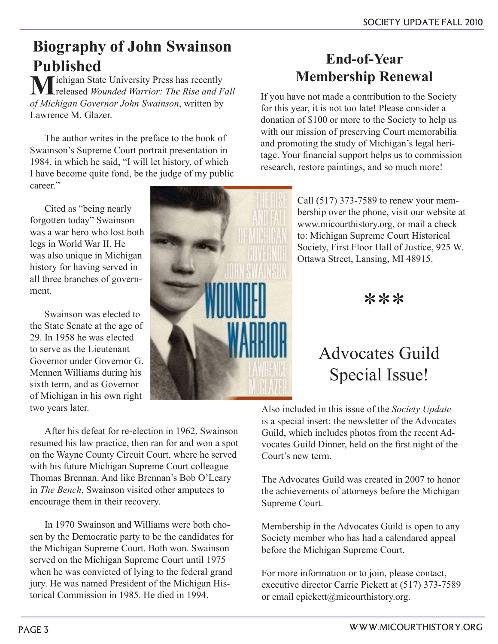### **Biography of John Swainson Published**

**M**ichigan State University Press has recently released *Wounded Warrior: The Rise and Fall of Michigan Governor John Swainson*, written by Lawrence M. Glazer.

The author writes in the preface to the book of Swainson's Supreme Court portrait presentation in 1984, in which he said, "I will let history, of which I have become quite fond, be the judge of my public career"

Cited as "being nearly forgotten today" Swainson was a war hero who lost both legs in World War II. He was also unique in Michigan history for having served in all three branches of government.

Swainson was elected to the State Senate at the age of 29. In 1958 he was elected to serve as the Lieutenant Governor under Governor G. Mennen Williams during his sixth term, and as Governor of Michigan in his own right two years later.



**End-of-Year Membership Renewal**

If you have not made a contribution to the Society for this year, it is not too late! Please consider a donation of \$100 or more to the Society to help us with our mission of preserving Court memorabilia and promoting the study of Michigan's legal heritage. Your financial support helps us to commission research, restore paintings, and so much more!

> Call (517) 373-7589 to renew your membership over the phone, visit our website at www.micourthistory.org, or mail a check to: Michigan Supreme Court Historical Society, First Floor Hall of Justice, 925 W. Ottawa Street, Lansing, MI 48915.

> > \*\*\*

## Advocates Guild Special Issue!

Also included in this issue of the *Society Update* is a special insert: the newsletter of the Advocates Guild, which includes photos from the recent Advocates Guild Dinner, held on the first night of the Court's new term.

The Advocates Guild was created in 2007 to honor the achievements of attorneys before the Michigan Supreme Court.

Membership in the Advocates Guild is open to any Society member who has had a calendared appeal before the Michigan Supreme Court.

For more information or to join, please contact, executive director Carrie Pickett at (517) 373-7589 or email cpickett@micourthistory.org.

After his defeat for re-election in 1962, Swainson resumed his law practice, then ran for and won a spot on the Wayne County Circuit Court, where he served with his future Michigan Supreme Court colleague Thomas Brennan. And like Brennan's Bob O'Leary in *The Bench*, Swainson visited other amputees to encourage them in their recovery.

In 1970 Swainson and Williams were both chosen by the Democratic party to be the candidates for the Michigan Supreme Court. Both won. Swainson served on the Michigan Supreme Court until 1975 when he was convicted of lying to the federal grand jury. He was named President of the Michigan Historical Commission in 1985. He died in 1994.